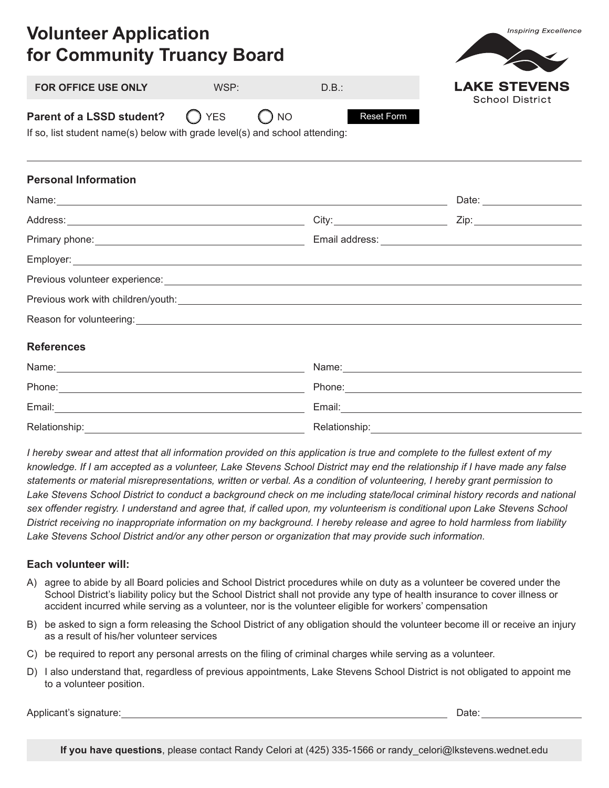| 19111001719110011011<br>for Community Truancy Board                                                                                                                                                                                  |      |            |                                               |
|--------------------------------------------------------------------------------------------------------------------------------------------------------------------------------------------------------------------------------------|------|------------|-----------------------------------------------|
| FOR OFFICE USE ONLY                                                                                                                                                                                                                  | WSP: | D.B.:      | <b>LAKE STEVENS</b><br><b>School District</b> |
| <b>Parent of a LSSD student?</b> $\bigcirc$ YES $\bigcirc$ NO<br>If so, list student name(s) below with grade level(s) and school attending:                                                                                         |      | Reset Form |                                               |
| <b>Personal Information</b>                                                                                                                                                                                                          |      |            |                                               |
| Name: Date: 2008. [2016] Date: 2016. [2016] Date: 2016. [2016] Date: 2016. [2016] Date: 2016. [2016] Date: 2016. [2016] Date: 2016. [2016] Date: 2016. [2016] Date: 2016. [2016] Date: 2016. [2016] Date: 2016. [2016] Date: 2       |      |            |                                               |
|                                                                                                                                                                                                                                      |      |            |                                               |
|                                                                                                                                                                                                                                      |      |            |                                               |
|                                                                                                                                                                                                                                      |      |            |                                               |
| Previous volunteer experience: <u>example and a serie of the series of the series of the series of the series of the series of the series of the series of the series of the series of the series of the series of the series of</u> |      |            |                                               |
|                                                                                                                                                                                                                                      |      |            |                                               |
|                                                                                                                                                                                                                                      |      |            |                                               |
| <b>References</b>                                                                                                                                                                                                                    |      |            |                                               |
|                                                                                                                                                                                                                                      |      |            |                                               |
|                                                                                                                                                                                                                                      |      |            |                                               |
|                                                                                                                                                                                                                                      |      |            |                                               |

*I hereby swear and attest that all information provided on this application is true and complete to the fullest extent of my knowledge. If I am accepted as a volunteer, Lake Stevens School District may end the relationship if I have made any false statements or material misrepresentations, written or verbal. As a condition of volunteering, I hereby grant permission to*  Lake Stevens School District to conduct a background check on me including state/local criminal history records and national *sex offender registry. I understand and agree that, if called upon, my volunteerism is conditional upon Lake Stevens School District receiving no inappropriate information on my background. I hereby release and agree to hold harmless from liability Lake Stevens School District and/or any other person or organization that may provide such information.*

## **Each volunteer will:**

**Volunteer Application**

- A) agree to abide by all Board policies and School District procedures while on duty as a volunteer be covered under the School District's liability policy but the School District shall not provide any type of health insurance to cover illness or accident incurred while serving as a volunteer, nor is the volunteer eligible for workers' compensation
- B) be asked to sign a form releasing the School District of any obligation should the volunteer become ill or receive an injury as a result of his/her volunteer services
- C) be required to report any personal arrests on the filing of criminal charges while serving as a volunteer.

Relationship: Relationship:

D) I also understand that, regardless of previous appointments, Lake Stevens School District is not obligated to appoint me to a volunteer position.

Applicant's signature:  $\Box$ 

**Inspiring Excellence** 

**If you have questions**, please contact Randy Celori at (425) 335-1566 or randy\_celori@lkstevens.wednet.edu